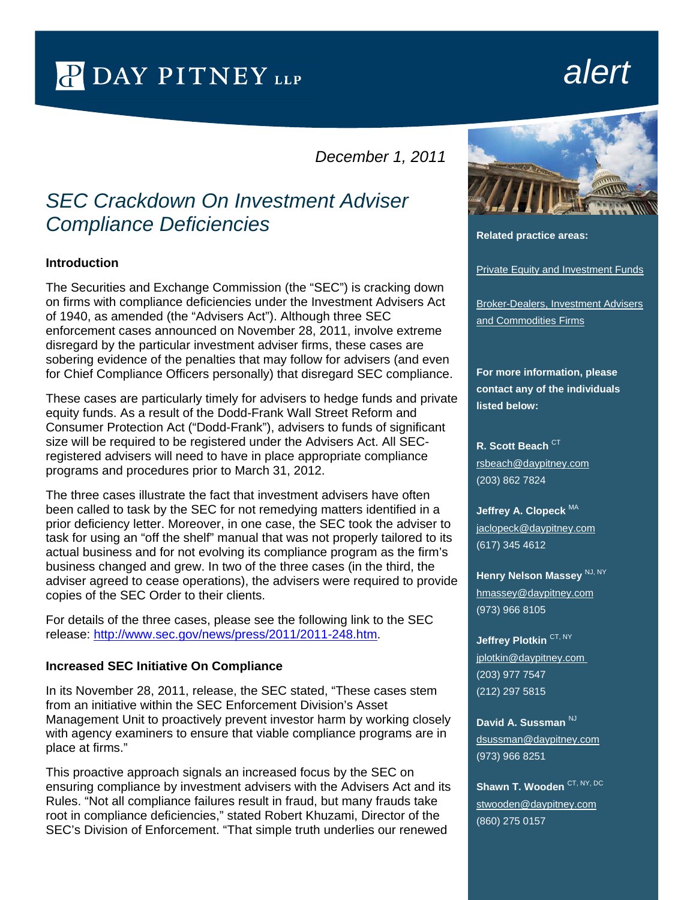PDAY PITNEY LLP

# *alert*

*December 1, 2011*

# *SEC Crackdown On Investment Adviser Compliance Deficiencies*

#### **Introduction**

The Securities and Exchange Commission (the "SEC") is cracking down on firms with compliance deficiencies under the Investment Advisers Act of 1940, as amended (the "Advisers Act"). Although three SEC enforcement cases announced on November 28, 2011, involve extreme disregard by the particular investment adviser firms, these cases are sobering evidence of the penalties that may follow for advisers (and even for Chief Compliance Officers personally) that disregard SEC compliance.

These cases are particularly timely for advisers to hedge funds and private equity funds. As a result of the Dodd-Frank Wall Street Reform and Consumer Protection Act ("Dodd-Frank"), advisers to funds of significant size will be required to be registered under the Advisers Act. All SECregistered advisers will need to have in place appropriate compliance programs and procedures prior to March 31, 2012.

The three cases illustrate the fact that investment advisers have often been called to task by the SEC for not remedying matters identified in a prior deficiency letter. Moreover, in one case, the SEC took the adviser to task for using an "off the shelf" manual that was not properly tailored to its actual business and for not evolving its compliance program as the firm's business changed and grew. In two of the three cases (in the third, the adviser agreed to cease operations), the advisers were required to provide copies of the SEC Order to their clients.

For details of the three cases, please see the following link to the SEC release: [http://www.sec.gov/news/press/2011/2011-248.htm.](http://links.daypitney-news.com/ctt?kn=12&ms=NDI0OTc5MAS2&r=MTY4OTY3MTg4NjYS1&b=0&j=MjU1MzQwMjA3S0&mt=1&rt=3)

#### **Increased SEC Initiative On Compliance**

In its November 28, 2011, release, the SEC stated, "These cases stem from an initiative within the SEC Enforcement Division's Asset Management Unit to proactively prevent investor harm by working closely with agency examiners to ensure that viable compliance programs are in place at firms."

This proactive approach signals an increased focus by the SEC on ensuring compliance by investment advisers with the Advisers Act and its Rules. "Not all compliance failures result in fraud, but many frauds take root in compliance deficiencies," stated Robert Khuzami, Director of the SEC's Division of Enforcement. "That simple truth underlies our renewed



**Related practice areas:**

[Private Equity and Investment Funds](http://www.daypitney.com/practices/Private-Equity-and-Investment-Funds/)

**Broker-Dealers, Investment Advisers** [and Commodities Firms](http://www.daypitney.com/practices/Broker-Dealers-Investment-Advisers-and-Commodities-Firms/)

**For more information, please contact any of the individuals listed below:** 

**R. Scott Beach CT** [rsbeach@daypitney.com](mailto:rsbeach@daypitney.com) (203) 862 7824

**Jeffrey A. Clopeck** MA [jaclopeck@daypitney.com](mailto:jaclopeck@daypitney.com) (617) 345 4612

**Henry Nelson Massey NJ, NY** [hmassey@daypitney.com](mailto:hmassey@daypitney.com) (973) 966 8105

**Jeffrey Plotkin CT, NY** [jplotkin@daypitney.com](mailto:jplotkin@daypitney.com)  (203) 977 7547 (212) 297 5815

David A. Sussman<sup>NJ</sup> [dsussman@daypitney.com](mailto:dsussman@daypitney.com) (973) 966 8251

**Shawn T. Wooden** CT, NY, DC [stwooden@daypitney.com](mailto:stwooden@daypitney.com) (860) 275 0157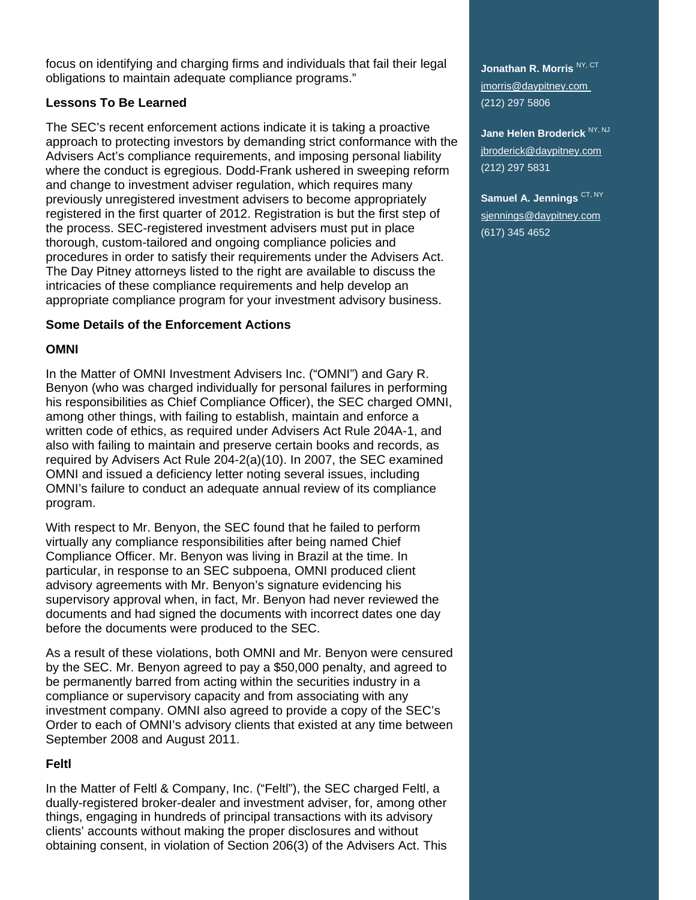focus on identifying and charging firms and individuals that fail their legal obligations to maintain adequate compliance programs."

### **Lessons To Be Learned**

The SEC's recent enforcement actions indicate it is taking a proactive approach to protecting investors by demanding strict conformance with the Advisers Act's compliance requirements, and imposing personal liability where the conduct is egregious. Dodd-Frank ushered in sweeping reform and change to investment adviser regulation, which requires many previously unregistered investment advisers to become appropriately registered in the first quarter of 2012. Registration is but the first step of the process. SEC-registered investment advisers must put in place thorough, custom-tailored and ongoing compliance policies and procedures in order to satisfy their requirements under the Advisers Act. The Day Pitney attorneys listed to the right are available to discuss the intricacies of these compliance requirements and help develop an appropriate compliance program for your investment advisory business.

### **Some Details of the Enforcement Actions**

# **OMNI**

In the Matter of OMNI Investment Advisers Inc. ("OMNI") and Gary R. Benyon (who was charged individually for personal failures in performing his responsibilities as Chief Compliance Officer), the SEC charged OMNI, among other things, with failing to establish, maintain and enforce a written code of ethics, as required under Advisers Act Rule 204A-1, and also with failing to maintain and preserve certain books and records, as required by Advisers Act Rule 204-2(a)(10). In 2007, the SEC examined OMNI and issued a deficiency letter noting several issues, including OMNI's failure to conduct an adequate annual review of its compliance program.

With respect to Mr. Benyon, the SEC found that he failed to perform virtually any compliance responsibilities after being named Chief Compliance Officer. Mr. Benyon was living in Brazil at the time. In particular, in response to an SEC subpoena, OMNI produced client advisory agreements with Mr. Benyon's signature evidencing his supervisory approval when, in fact, Mr. Benyon had never reviewed the documents and had signed the documents with incorrect dates one day before the documents were produced to the SEC.

As a result of these violations, both OMNI and Mr. Benyon were censured by the SEC. Mr. Benyon agreed to pay a \$50,000 penalty, and agreed to be permanently barred from acting within the securities industry in a compliance or supervisory capacity and from associating with any investment company. OMNI also agreed to provide a copy of the SEC's Order to each of OMNI's advisory clients that existed at any time between September 2008 and August 2011.

# **Feltl**

In the Matter of Feltl & Company, Inc. ("Feltl"), the SEC charged Feltl, a dually-registered broker-dealer and investment adviser, for, among other things, engaging in hundreds of principal transactions with its advisory clients' accounts without making the proper disclosures and without obtaining consent, in violation of Section 206(3) of the Advisers Act. This

**Jonathan R. Morris** NY, CT jmorris@daypitney.com (212) 297 5806

**Jane Helen Broderick** NY, NJ jbroderick@daypitney.com (212) 297 5831

**Samuel A. Jennings CT, NY** sjennings@daypitney.com (617) 345 4652